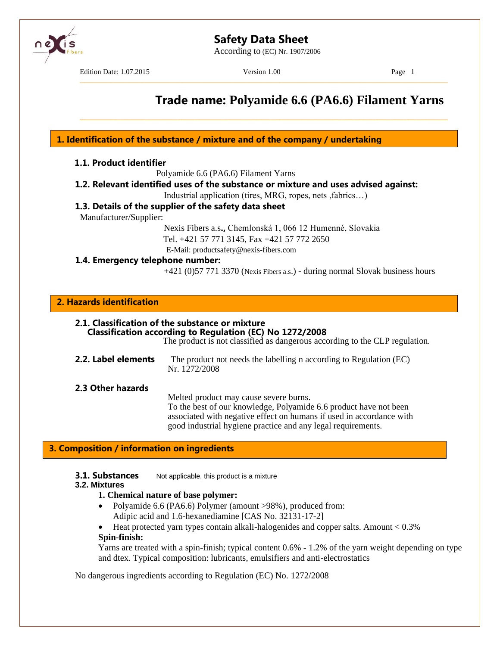According to (EC) Nr. 1907/2006



Edition Date: 1.07.2015 Version 1.00 Page 1

–––––––––––––––––––––––––––––––––––––––––––––––––––––––––––––––––––––––––––––––––––

\_\_\_\_\_\_\_\_\_\_\_\_\_\_\_\_\_\_\_\_\_\_\_\_\_\_\_\_\_\_\_\_\_\_\_\_\_\_\_\_\_\_\_\_\_\_\_\_\_\_\_\_\_\_\_\_\_\_\_\_\_\_\_\_\_\_\_\_\_\_\_\_\_\_\_\_\_\_\_\_\_\_\_

## **Trade name: Polyamide 6.6 (PA6.6) Filament Yarns**

**1. Identification of the substance / mixture and of the company / undertaking**

#### **1.1. Product identifier**

Polyamide 6.6 (PA6.6) Filament Yarns

**1.2. Relevant identified uses of the substance or mixture and uses advised against:**

Industrial application (tires, MRG, ropes, nets ,fabrics…)

#### **1.3. Details of the supplier of the safety data sheet**

Manufacturer/Supplier:

Nexis Fibers a.s**.,** Chemlonská 1, 066 12 Humenné, Slovakia Tel. +421 57 771 3145, Fax +421 57 772 2650 E-Mail: productsafety@nexis-fibers.com

#### **1.4. Emergency telephone number:**

+421 (0)57 771 3370 (Nexis Fibers a.s.) - during normal Slovak business hours

#### **2. Hazards identification**

#### **2.1. Classification of the substance or mixture Classification according to Regulation (EC) No 1272/2008**

The product is not classified as dangerous according to the CLP regulation*.*

**2.2. Label elements** The product not needs the labelling n according to Regulation (EC) Nr. 1272/2008

**2.3 Other hazards**

Melted product may cause severe burns.

To the best of our knowledge, Polyamide 6.6 product have not been associated with negative effect on humans if used in accordance with good industrial hygiene practice and any legal requirements.

#### **3. Composition / information on ingredients**

**3.1. Substances** Not applicable, this product is a mixture

#### **3.2. Mixtures**

#### **1. Chemical nature of base polymer:**

- Polyamide 6.6 (PA6.6) Polymer (amount >98%), produced from: Adipic acid and 1.6-hexanediamine [CAS No. 32131-17-2]
- Heat protected yarn types contain alkali-halogenides and copper salts. Amount < 0.3% **Spin-finish:**

Yarns are treated with a spin-finish; typical content 0.6% - 1.2% of the yarn weight depending on type and dtex. Typical composition: lubricants, emulsifiers and anti-electrostatics

No dangerous ingredients according to Regulation (EC) No. 1272/2008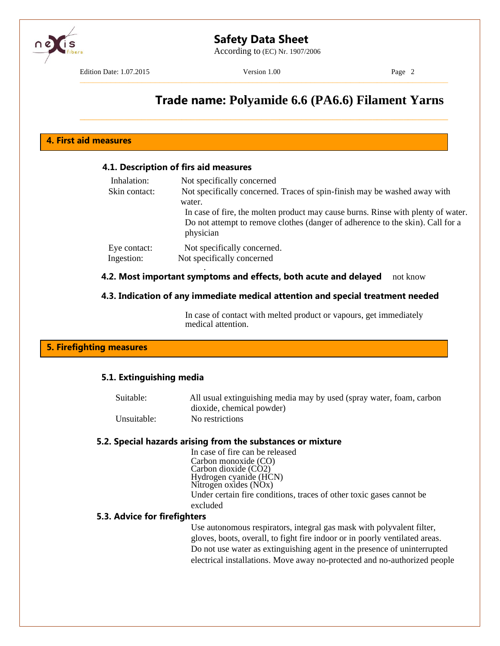According to (EC) Nr. 1907/2006

Edition Date: 1.07.2015 Version 1.00 Page 2

–––––––––––––––––––––––––––––––––––––––––––––––––––––––––––––––––––––––––––––––––––

\_\_\_\_\_\_\_\_\_\_\_\_\_\_\_\_\_\_\_\_\_\_\_\_\_\_\_\_\_\_\_\_\_\_\_\_\_\_\_\_\_\_\_\_\_\_\_\_\_\_\_\_\_\_\_\_\_\_\_\_\_\_\_\_\_\_\_\_\_\_\_\_\_\_\_\_\_\_\_\_\_\_\_

## **Trade name: Polyamide 6.6 (PA6.6) Filament Yarns**

#### **4. First aid measures**

#### **4.1. Description of firs aid measures**

| Inhalation:   | Not specifically concerned                                                                  |
|---------------|---------------------------------------------------------------------------------------------|
| Skin contact: | Not specifically concerned. Traces of spin-finish may be washed away with                   |
|               | water.                                                                                      |
|               | In case of fire, the molten product may cause burns. Rinse with plenty of water.            |
|               | Do not attempt to remove clothes (danger of adherence to the skin). Call for a<br>physician |
| Eye contact:  | Not specifically concerned.                                                                 |
| Ingestion:    | Not specifically concerned                                                                  |
|               |                                                                                             |

#### **4.2. Most important symptoms and effects, both acute and delayed** not know

#### **4.3. Indication of any immediate medical attention and special treatment needed**

In case of contact with melted product or vapours, get immediately medical attention.

#### **5. Firefighting measures**

#### **5.1. Extinguishing media**

| Suitable:   | All usual extinguishing media may by used (spray water, foam, carbon |
|-------------|----------------------------------------------------------------------|
|             | dioxide, chemical powder)                                            |
| Unsuitable: | No restrictions                                                      |

#### **5.2. Special hazards arising from the substances or mixture**

In case of fire can be released Carbon monoxide (CO) Carbon dioxide (CO2) Hydrogen cyanide (HCN) Nitrogen oxides (NOx) Under certain fire conditions, traces of other toxic gases cannot be excluded

#### **5.3. Advice for firefighters**

Use autonomous respirators, integral gas mask with polyvalent filter, gloves, boots, overall, to fight fire indoor or in poorly ventilated areas. Do not use water as extinguishing agent in the presence of uninterrupted electrical installations. Move away no-protected and no-authorized people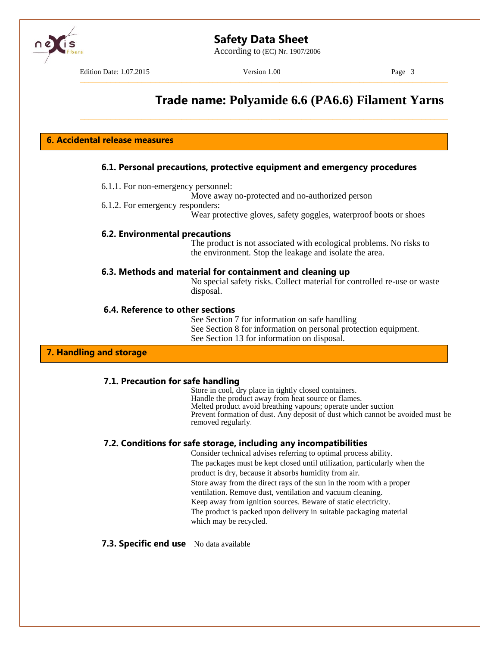According to (EC) Nr. 1907/2006



Edition Date: 1.07.2015 Version 1.00 Version 1.00 Page 3

–––––––––––––––––––––––––––––––––––––––––––––––––––––––––––––––––––––––––––––––––––

\_\_\_\_\_\_\_\_\_\_\_\_\_\_\_\_\_\_\_\_\_\_\_\_\_\_\_\_\_\_\_\_\_\_\_\_\_\_\_\_\_\_\_\_\_\_\_\_\_\_\_\_\_\_\_\_\_\_\_\_\_\_\_\_\_\_\_\_\_\_\_\_\_\_\_\_\_\_\_\_\_\_\_

## **Trade name: Polyamide 6.6 (PA6.6) Filament Yarns**

**6. Accidental release measures**

#### **6.1. Personal precautions, protective equipment and emergency procedures**

- 6.1.1. For non-emergency personnel:
	- Move away no-protected and no-authorized person
- 6.1.2. For emergency responders:

Wear protective gloves, safety goggles, waterproof boots or shoes

#### **6.2. Environmental precautions**

The product is not associated with ecological problems. No risks to the environment. Stop the leakage and isolate the area.

#### **6.3. Methods and material for containment and cleaning up**

No special safety risks. Collect material for controlled re-use or waste disposal.

#### **6.4. Reference to other sections**

See Section 7 for information on safe handling See Section 8 for information on personal protection equipment. See Section 13 for information on disposal.

#### **7. Handling and storage**

#### **7.1. Precaution for safe handling**

Store in cool, dry place in tightly closed containers. Handle the product away from heat source or flames. Melted product avoid breathing vapours; operate under suction Prevent formation of dust. Any deposit of dust which cannot be avoided must be removed regularly*.*

#### **7.2. Conditions for safe storage, including any incompatibilities**

Consider technical advises referring to optimal process ability. The packages must be kept closed until utilization, particularly when the product is dry, because it absorbs humidity from air. Store away from the direct rays of the sun in the room with a proper ventilation. Remove dust, ventilation and vacuum cleaning. Keep away from ignition sources. Beware of static electricity. The product is packed upon delivery in suitable packaging material which may be recycled.

#### **7.3. Specific end use** No data available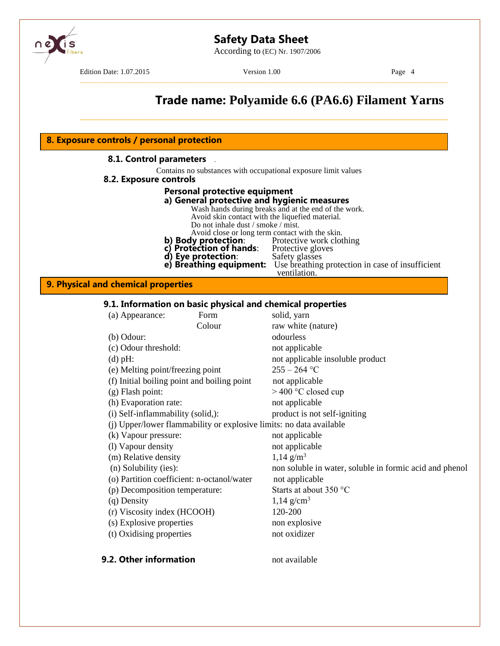

According to (EC) Nr. 1907/2006

Edition Date: 1.07.2015 Version 1.00 Page 4

–––––––––––––––––––––––––––––––––––––––––––––––––––––––––––––––––––––––––––––––––––

## **Trade name: Polyamide 6.6 (PA6.6) Filament Yarns** \_\_\_\_\_\_\_\_\_\_\_\_\_\_\_\_\_\_\_\_\_\_\_\_\_\_\_\_\_\_\_\_\_\_\_\_\_\_\_\_\_\_\_\_\_\_\_\_\_\_\_\_\_\_\_\_\_\_\_\_\_\_\_\_\_\_\_\_\_\_\_\_\_\_\_\_\_\_\_\_\_\_\_ **8.1. Control parameters** *.* Contains no substances with occupational exposure limit values **8.2. Exposure controls Personal protective equipment a) General protective and hygienic measures** Wash hands during breaks and at the end of the work. Avoid skin contact with the liquefied material. Do not inhale dust / smoke / mist. **8. Exposure controls / personal protection**

- Avoid close or long term contact with the skin.<br>**y protection**: Protective work clothing
- **b) Body protection:** Protective work clothing
- **c) Protection of hands**: Protective gloves **c) Protection of hands**: Protective gloves **d) Eye protection**: Safety glasses
- 
- **e) Breathing equipment:** Use breathing protection in case of insufficient
	- ventilation.

#### **9. Physical and chemical properties**

#### **9.1. Information on basic physical and chemical properties**

| (a) Appearance:                             | Form   | solid, yarn                                                         |
|---------------------------------------------|--------|---------------------------------------------------------------------|
|                                             | Colour | raw white (nature)                                                  |
| $(b)$ Odour:                                |        | odourless                                                           |
| (c) Odour threshold:                        |        | not applicable                                                      |
| $(d)$ pH:                                   |        | not applicable insoluble product                                    |
| (e) Melting point/freezing point            |        | $255 - 264$ °C                                                      |
| (f) Initial boiling point and boiling point |        | not applicable                                                      |
| $(g)$ Flash point:                          |        | $>$ 400 °C closed cup                                               |
| (h) Evaporation rate:                       |        | not applicable                                                      |
| (i) Self-inflammability (solid,):           |        | product is not self-igniting                                        |
|                                             |        | (j) Upper/lower flammability or explosive limits: no data available |
| (k) Vapour pressure:                        |        | not applicable                                                      |
| (1) Vapour density                          |        | not applicable                                                      |
| (m) Relative density                        |        | $1,14 \text{ g/m}^3$                                                |
| (n) Solubility (ies):                       |        | non soluble in water, soluble in formic acid and phenol             |
| (o) Partition coefficient: n-octanol/water  |        | not applicable                                                      |
| (p) Decomposition temperature:              |        | Starts at about 350 °C                                              |
| (q) Density                                 |        | $1,14 \text{ g/cm}^3$                                               |
| (r) Viscosity index (HCOOH)                 |        | 120-200                                                             |
| (s) Explosive properties                    |        | non explosive                                                       |
| (t) Oxidising properties                    |        | not oxidizer                                                        |
| 9.2. Other information                      |        | not available                                                       |
|                                             |        |                                                                     |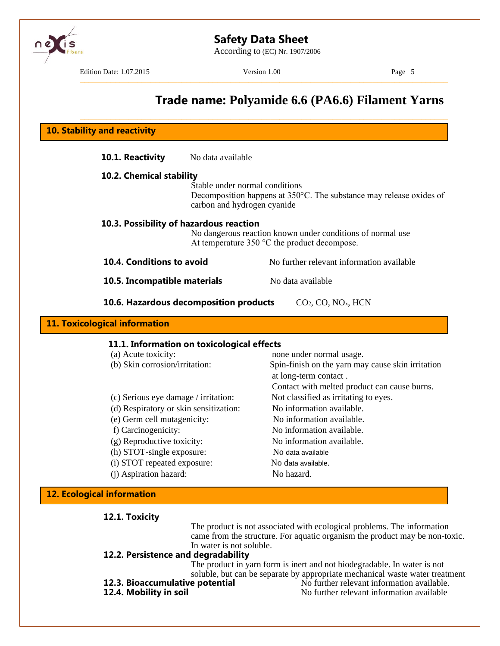

According to (EC) Nr. 1907/2006



Edition Date: 1.07.2015 Version 1.00 Page 5

–––––––––––––––––––––––––––––––––––––––––––––––––––––––––––––––––––––––––––––––––––

## **Trade name: Polyamide 6.6 (PA6.6) Filament Yarns**

| <b>10. Stability and reactivity</b>                      |                                                                                                                                                                  |                                                                                                                     |  |
|----------------------------------------------------------|------------------------------------------------------------------------------------------------------------------------------------------------------------------|---------------------------------------------------------------------------------------------------------------------|--|
| 10.1. Reactivity                                         | No data available                                                                                                                                                |                                                                                                                     |  |
|                                                          | 10.2. Chemical stability<br>Stable under normal conditions<br>Decomposition happens at 350°C. The substance may release oxides of<br>carbon and hydrogen cyanide |                                                                                                                     |  |
|                                                          | 10.3. Possibility of hazardous reaction                                                                                                                          | No dangerous reaction known under conditions of normal use<br>At temperature $350 \degree C$ the product decompose. |  |
| 10.4. Conditions to avoid                                |                                                                                                                                                                  | No further relevant information available                                                                           |  |
|                                                          |                                                                                                                                                                  |                                                                                                                     |  |
| 10.5. Incompatible materials                             |                                                                                                                                                                  | No data available                                                                                                   |  |
|                                                          | 10.6. Hazardous decomposition products                                                                                                                           | CO <sub>2</sub> , CO, NO <sub>x</sub> , HCN                                                                         |  |
| <b>11. Toxicological information</b>                     | 11.1. Information on toxicological effects                                                                                                                       |                                                                                                                     |  |
| (a) Acute toxicity:<br>(b) Skin corrosion/irritation:    |                                                                                                                                                                  | none under normal usage.<br>Spin-finish on the yarn may cause skin irritation<br>at long-term contact.              |  |
| (c) Serious eye damage / irritation:                     |                                                                                                                                                                  | Contact with melted product can cause burns.<br>Not classified as irritating to eyes.                               |  |
|                                                          | (d) Respiratory or skin sensitization:                                                                                                                           | No information available.                                                                                           |  |
| (e) Germ cell mutagenicity:                              |                                                                                                                                                                  | No information available.                                                                                           |  |
| f) Carcinogenicity:                                      |                                                                                                                                                                  | No information available.                                                                                           |  |
| (g) Reproductive toxicity:                               |                                                                                                                                                                  | No information available.                                                                                           |  |
| (h) STOT-single exposure:<br>(i) STOT repeated exposure: |                                                                                                                                                                  | No data available<br>No data available.                                                                             |  |

**12.1. Toxicity**

The product is not associated with ecological problems. The information came from the structure. For aquatic organism the product may be non-toxic. In water is not soluble.

#### **12.2. Persistence and degradability**

The product in yarn form is inert and not biodegradable. In water is not soluble, but can be separate by appropriate mechanical waste water treatment **12.3. Bioaccumulative potential** No further relevant information available.

- 
- 

**12.3. Bioaccumulative potential**  $\overrightarrow{N}$  No further relevant information available.<br>**12.4. Mobility in soil No further relevant information available** No further relevant information available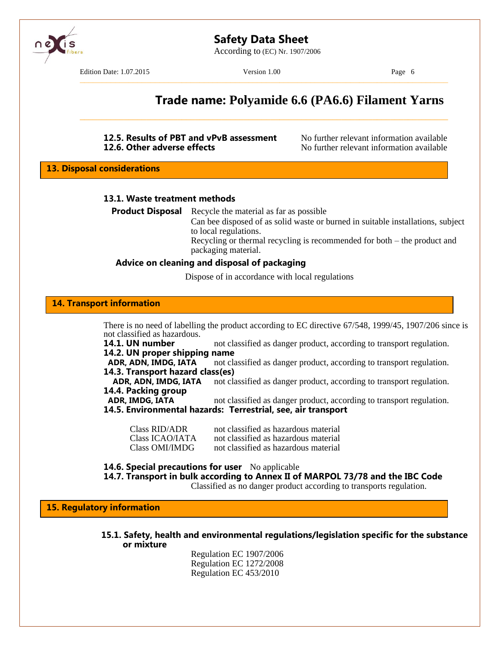

According to (EC) Nr. 1907/2006

Edition Date: 1.07.2015 Version 1.00 Page 6

–––––––––––––––––––––––––––––––––––––––––––––––––––––––––––––––––––––––––––––––––––

\_\_\_\_\_\_\_\_\_\_\_\_\_\_\_\_\_\_\_\_\_\_\_\_\_\_\_\_\_\_\_\_\_\_\_\_\_\_\_\_\_\_\_\_\_\_\_\_\_\_\_\_\_\_\_\_\_\_\_\_\_\_\_\_\_\_\_\_\_\_\_\_\_\_\_\_\_\_\_\_\_\_\_

## **Trade name: Polyamide 6.6 (PA6.6) Filament Yarns**

# **12.5. Results of PBT and vPvB assessment** No further relevant information available **12.6. Other adverse effects** No further relevant information available

**12.6. Other adverse effects** No further relevant information available

**13. Disposal considerations**

#### **13.1. Waste treatment methods**

**Product Disposal** Recycle the material as far as possible

Can bee disposed of as solid waste or burned in suitable installations, subject to local regulations.

Recycling or thermal recycling is recommended for both – the product and packaging material.

#### **Advice on cleaning and disposal of packaging**

Dispose of in accordance with local regulations

#### **14. Transport information**

There is no need of labelling the product according to EC directive 67/548, 1999/45, 1907/206 since is not classified as hazardous.

**14.1. UN number** not classified as danger product, according to transport regulation. **14.2. UN proper shipping name**

**ADR, ADN, IMDG, IATA** not classified as danger product, according to transport regulation. **14.3. Transport hazard class(es)**

ADR, ADN, IMDG, IATA not classified as danger product, according to transport regulation. **14.4. Packing group**

**ADR, IMDG, IATA** not classified as danger product, according to transport regulation.

#### **14.5. Environmental hazards: Terrestrial, see, air transport**

| Class RID/ADR   | not classified as hazardous material |
|-----------------|--------------------------------------|
| Class ICAO/IATA | not classified as hazardous material |
| Class OMI/IMDG  | not classified as hazardous material |

**14.6. Special precautions for user** No applicable

**14.7. Transport in bulk according to Annex II of MARPOL 73/78 and the IBC Code**

Classified as no danger product according to transports regulation.

**15. Regulatory information**

**15.1. Safety, health and environmental regulations/legislation specific for the substance or mixture**

> Regulation EC 1907/2006 Regulation EC 1272/2008 Regulation EC 453/2010